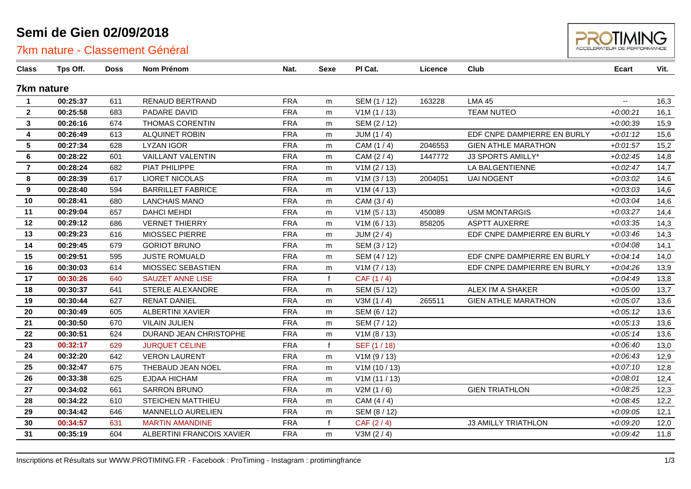## **Semi de Gien 02/09/2018**

### 7km nature - Classement Général



| Class                   | Tps Off. | <b>Doss</b> | Nom Prénom                | Nat.       | <b>Sexe</b>  | PI Cat.      | Licence | Club                        | <b>Ecart</b>             | Vit. |
|-------------------------|----------|-------------|---------------------------|------------|--------------|--------------|---------|-----------------------------|--------------------------|------|
| 7km nature              |          |             |                           |            |              |              |         |                             |                          |      |
| $\blacktriangleleft$    | 00:25:37 | 611         | <b>RENAUD BERTRAND</b>    | <b>FRA</b> | m            | SEM (1 / 12) | 163228  | <b>LMA 45</b>               | $\overline{\phantom{a}}$ | 16,3 |
| $\mathbf{2}$            | 00:25:58 | 683         | PADARE DAVID              | <b>FRA</b> | m            | V1M(1/13)    |         | <b>TEAM NUTEO</b>           | $+0.00:21$               | 16,1 |
| 3                       | 00:26:16 | 674         | <b>THOMAS CORENTIN</b>    | <b>FRA</b> | m            | SEM (2/12)   |         |                             | $+0.00.39$               | 15,9 |
| 4                       | 00:26:49 | 613         | <b>ALQUINET ROBIN</b>     | <b>FRA</b> | m            | JUM $(1/4)$  |         | EDF CNPE DAMPIERRE EN BURLY | $+0.01:12$               | 15,6 |
| 5                       | 00:27:34 | 628         | <b>LYZAN IGOR</b>         | <b>FRA</b> | m            | CAM (1 / 4)  | 2046553 | <b>GIEN ATHLE MARATHON</b>  | $+0.01:57$               | 15,2 |
| 6                       | 00:28:22 | 601         | <b>VAILLANT VALENTIN</b>  | <b>FRA</b> | m            | CAM $(2/4)$  | 1447772 | J3 SPORTS AMILLY*           | $+0.02:45$               | 14,8 |
| $\overline{\mathbf{r}}$ | 00:28:24 | 682         | PIAT PHILIPPE             | <b>FRA</b> | m            | V1M (2 / 13) |         | LA BALGENTIENNE             | $+0.02:47$               | 14,7 |
| 8                       | 00:28:39 | 617         | <b>LIORET NICOLAS</b>     | <b>FRA</b> | m            | V1M (3 / 13) | 2004051 | <b>UAI NOGENT</b>           | $+0.03:02$               | 14,6 |
| $\boldsymbol{9}$        | 00:28:40 | 594         | <b>BARRILLET FABRICE</b>  | <b>FRA</b> | m            | V1M(4/13)    |         |                             | $+0.03.03$               | 14,6 |
| 10                      | 00:28:41 | 680         | <b>LANCHAIS MANO</b>      | <b>FRA</b> | m            | CAM (3/4)    |         |                             | $+0.03:04$               | 14,6 |
| 11                      | 00:29:04 | 657         | <b>DAHCI MEHDI</b>        | <b>FRA</b> | m            | V1M(5/13)    | 450089  | <b>USM MONTARGIS</b>        | $+0.03:27$               | 14,4 |
| 12                      | 00:29:12 | 686         | <b>VERNET THIERRY</b>     | <b>FRA</b> | m            | V1M (6 / 13) | 858205  | <b>ASPTT AUXERRE</b>        | $+0.03.35$               | 14,3 |
| 13                      | 00:29:23 | 616         | MIOSSEC PIERRE            | <b>FRA</b> | m            | JUM $(2/4)$  |         | EDF CNPE DAMPIERRE EN BURLY | $+0.03:46$               | 14,3 |
| 14                      | 00:29:45 | 679         | <b>GORIOT BRUNO</b>       | <b>FRA</b> | m            | SEM (3/12)   |         |                             | $+0.04.08$               | 14,1 |
| 15                      | 00:29:51 | 595         | <b>JUSTE ROMUALD</b>      | <b>FRA</b> | m            | SEM (4/12)   |         | EDF CNPE DAMPIERRE EN BURLY | $+0.04:14$               | 14,0 |
| 16                      | 00:30:03 | 614         | MIOSSEC SEBASTIEN         | <b>FRA</b> | m            | V1M (7 / 13) |         | EDF CNPE DAMPIERRE EN BURLY | $+0.04:26$               | 13,9 |
| 17                      | 00:30:26 | 640         | <b>SAUZET ANNE LISE</b>   | <b>FRA</b> | $\mathbf{f}$ | CAF (1/4)    |         |                             | $+0.04:49$               | 13,8 |
| 18                      | 00:30:37 | 641         | STERLE ALEXANDRE          | <b>FRA</b> | m            | SEM (5/12)   |         | ALEX I'M A SHAKER           | $+0.05:00$               | 13,7 |
| 19                      | 00:30:44 | 627         | <b>RENAT DANIEL</b>       | <b>FRA</b> | m            | V3M(1/4)     | 265511  | <b>GIEN ATHLE MARATHON</b>  | $+0.05:07$               | 13,6 |
| 20                      | 00:30:49 | 605         | <b>ALBERTINI XAVIER</b>   | <b>FRA</b> | m            | SEM (6 / 12) |         |                             | $+0.05:12$               | 13,6 |
| 21                      | 00:30:50 | 670         | <b>VILAIN JULIEN</b>      | <b>FRA</b> | m            | SEM (7/12)   |         |                             | $+0.05:13$               | 13,6 |
| 22                      | 00:30:51 | 624         | DURAND JEAN CHRISTOPHE    | <b>FRA</b> | m            | V1M (8 / 13) |         |                             | $+0.05:14$               | 13,6 |
| 23                      | 00:32:17 | 629         | <b>JURQUET CELINE</b>     | <b>FRA</b> | $\mathbf{f}$ | SEF (1 / 18) |         |                             | $+0.06:40$               | 13,0 |
| 24                      | 00:32:20 | 642         | <b>VERON LAURENT</b>      | <b>FRA</b> | m            | V1M (9 / 13) |         |                             | $+0.06:43$               | 12,9 |
| 25                      | 00:32:47 | 675         | <b>THEBAUD JEAN NOEL</b>  | <b>FRA</b> | m            | V1M(10/13)   |         |                             | $+0.07:10$               | 12,8 |
| 26                      | 00:33:38 | 625         | EJDAA HICHAM              | <b>FRA</b> | m            | V1M(11/13)   |         |                             | $+0.08:01$               | 12,4 |
| 27                      | 00:34:02 | 661         | <b>SARRON BRUNO</b>       | <b>FRA</b> | m            | V2M(1/6)     |         | <b>GIEN TRIATHLON</b>       | $+0.08:25$               | 12,3 |
| 28                      | 00:34:22 | 610         | <b>STEICHEN MATTHIEU</b>  | <b>FRA</b> | m            | CAM (4/4)    |         |                             | $+0.08:45$               | 12,2 |
| 29                      | 00:34:42 | 646         | MANNELLO AURELIEN         | <b>FRA</b> | m            | SEM (8 / 12) |         |                             | $+0.09:05$               | 12,1 |
| 30                      | 00:34:57 | 631         | <b>MARTIN AMANDINE</b>    | <b>FRA</b> | $\mathbf{f}$ | CAF $(2/4)$  |         | <b>J3 AMILLY TRIATHLON</b>  | $+0.09:20$               | 12,0 |
| 31                      | 00:35:19 | 604         | ALBERTINI FRANCOIS XAVIER | <b>FRA</b> | m            | V3M (2/4)    |         |                             | $+0.09:42$               | 11,8 |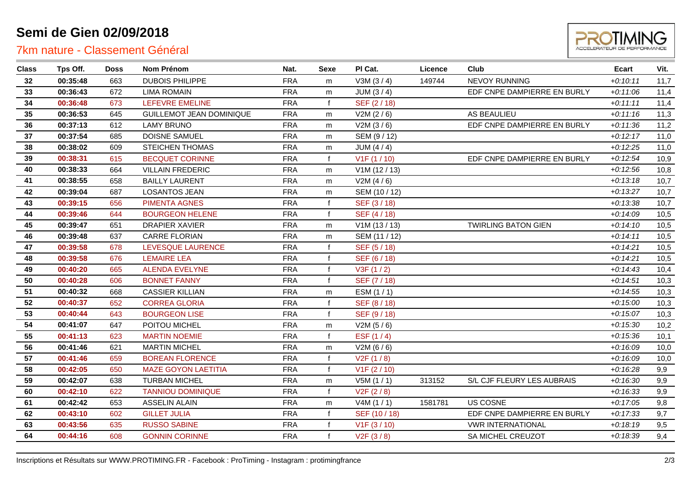# **Semi de Gien 02/09/2018**

### 7km nature - Classement Général



| <b>Class</b> | Tps Off. | Doss | Nom Prénom                      | Nat.       | Sexe         | PI Cat.                   | Licence | Club                        | Ecart      | Vit. |
|--------------|----------|------|---------------------------------|------------|--------------|---------------------------|---------|-----------------------------|------------|------|
| 32           | 00:35:48 | 663  | <b>DUBOIS PHILIPPE</b>          | <b>FRA</b> | m            | V3M(3/4)                  | 149744  | <b>NEVOY RUNNING</b>        | $+0:10:11$ | 11,7 |
| 33           | 00:36:43 | 672  | <b>LIMA ROMAIN</b>              | <b>FRA</b> | m            | JUM $(3/4)$               |         | EDF CNPE DAMPIERRE EN BURLY | $+0:11:06$ | 11,4 |
| 34           | 00:36:48 | 673  | <b>LEFEVRE EMELINE</b>          | <b>FRA</b> | $\mathbf f$  | SEF (2/18)                |         |                             | $+0:11:11$ | 11,4 |
| 35           | 00:36:53 | 645  | <b>GUILLEMOT JEAN DOMINIQUE</b> | <b>FRA</b> | m            | V2M (2/6)                 |         | AS BEAULIEU                 | $+0:11:16$ | 11,3 |
| 36           | 00:37:13 | 612  | <b>LAMY BRUNO</b>               | <b>FRA</b> | m            | V2M(3/6)                  |         | EDF CNPE DAMPIERRE EN BURLY | $+0:11:36$ | 11,2 |
| 37           | 00:37:54 | 685  | <b>DOISNE SAMUEL</b>            | <b>FRA</b> | m            | SEM (9/12)                |         |                             | $+0:12:17$ | 11,0 |
| 38           | 00:38:02 | 609  | <b>STEICHEN THOMAS</b>          | <b>FRA</b> | m            | JUM $(4/4)$               |         |                             | $+0:12:25$ | 11,0 |
| 39           | 00:38:31 | 615  | <b>BECQUET CORINNE</b>          | <b>FRA</b> | $\mathbf{f}$ | V <sub>1</sub> F (1 / 10) |         | EDF CNPE DAMPIERRE EN BURLY | $+0:12:54$ | 10,9 |
| 40           | 00:38:33 | 664  | <b>VILLAIN FREDERIC</b>         | <b>FRA</b> | m            | V1M(12/13)                |         |                             | $+0:12:56$ | 10,8 |
| 41           | 00:38:55 | 658  | <b>BAILLY LAURENT</b>           | <b>FRA</b> | m            | V2M(4/6)                  |         |                             | $+0:13:18$ | 10,7 |
| 42           | 00:39:04 | 687  | <b>LOSANTOS JEAN</b>            | <b>FRA</b> | m            | SEM (10 / 12)             |         |                             | $+0:13:27$ | 10,7 |
| 43           | 00:39:15 | 656  | <b>PIMENTA AGNES</b>            | <b>FRA</b> | $\mathbf{f}$ | SEF (3/18)                |         |                             | $+0:13:38$ | 10,7 |
| 44           | 00:39:46 | 644  | <b>BOURGEON HELENE</b>          | <b>FRA</b> | $\mathbf{f}$ | SEF (4/18)                |         |                             | $+0.14.09$ | 10,5 |
| 45           | 00:39:47 | 651  | <b>DRAPIER XAVIER</b>           | <b>FRA</b> | m            | V1M(13/13)                |         | <b>TWIRLING BATON GIEN</b>  | $+0:14:10$ | 10,5 |
| 46           | 00:39:48 | 637  | <b>CARRE FLORIAN</b>            | <b>FRA</b> | m            | SEM (11 / 12)             |         |                             | $+0:14:11$ | 10,5 |
| 47           | 00:39:58 | 678  | LEVESQUE LAURENCE               | <b>FRA</b> |              | SEF (5/18)                |         |                             | $+0:14:21$ | 10,5 |
| 48           | 00:39:58 | 676  | <b>LEMAIRE LEA</b>              | <b>FRA</b> |              | SEF (6/18)                |         |                             | $+0:14:21$ | 10,5 |
| 49           | 00:40:20 | 665  | <b>ALENDA EVELYNE</b>           | <b>FRA</b> |              | V3F(1/2)                  |         |                             | $+0:14:43$ | 10,4 |
| 50           | 00:40:28 | 606  | <b>BONNET FANNY</b>             | <b>FRA</b> |              | SEF (7/18)                |         |                             | $+0:14:51$ | 10,3 |
| 51           | 00:40:32 | 668  | <b>CASSIER KILLIAN</b>          | <b>FRA</b> | m            | ESM (1/1)                 |         |                             | $+0:14:55$ | 10,3 |
| 52           | 00:40:37 | 652  | <b>CORREA GLORIA</b>            | <b>FRA</b> |              | SEF (8 / 18)              |         |                             | $+0:15:00$ | 10,3 |
| 53           | 00:40:44 | 643  | <b>BOURGEON LISE</b>            | <b>FRA</b> |              | SEF (9/18)                |         |                             | $+0:15:07$ | 10,3 |
| 54           | 00:41:07 | 647  | POITOU MICHEL                   | <b>FRA</b> | m            | V2M(5/6)                  |         |                             | $+0:15:30$ | 10,2 |
| 55           | 00:41:13 | 623  | <b>MARTIN NOEMIE</b>            | <b>FRA</b> | $\mathbf{f}$ | ESF $(1/4)$               |         |                             | $+0:15:36$ | 10,1 |
| 56           | 00:41:46 | 621  | <b>MARTIN MICHEL</b>            | <b>FRA</b> | m            | V2M(6/6)                  |         |                             | $+0.16.09$ | 10,0 |
| 57           | 00:41:46 | 659  | <b>BOREAN FLORENCE</b>          | <b>FRA</b> | $\mathbf f$  | V2F(1/8)                  |         |                             | $+0.16.09$ | 10,0 |
| 58           | 00:42:05 | 650  | <b>MAZE GOYON LAETITIA</b>      | <b>FRA</b> |              | V1F(2/10)                 |         |                             | $+0:16:28$ | 9,9  |
| 59           | 00:42:07 | 638  | <b>TURBAN MICHEL</b>            | <b>FRA</b> | m            | V5M(1/1)                  | 313152  | S/L CJF FLEURY LES AUBRAIS  | $+0.16.30$ | 9,9  |
| 60           | 00:42:10 | 622  | <b>TANNIOU DOMINIQUE</b>        | <b>FRA</b> | $\mathbf{f}$ | V2F(2/8)                  |         |                             | $+0:16:33$ | 9,9  |
| 61           | 00:42:42 | 653  | <b>ASSELIN ALAIN</b>            | <b>FRA</b> | m            | V4M(1/1)                  | 1581781 | US COSNE                    | $+0:17:05$ | 9,8  |
| 62           | 00:43:10 | 602  | <b>GILLET JULIA</b>             | <b>FRA</b> | $\mathbf f$  | SEF (10 / 18)             |         | EDF CNPE DAMPIERRE EN BURLY | $+0:17:33$ | 9,7  |
| 63           | 00:43:56 | 635  | <b>RUSSO SABINE</b>             | <b>FRA</b> |              | V <sub>1</sub> F (3 / 10) |         | <b>VWR INTERNATIONAL</b>    | $+0.18:19$ | 9,5  |
| 64           | 00:44:16 | 608  | <b>GONNIN CORINNE</b>           | <b>FRA</b> | $\mathbf f$  | V2F(3/8)                  |         | SA MICHEL CREUZOT           | $+0.18.39$ | 9,4  |
|              |          |      |                                 |            |              |                           |         |                             |            |      |